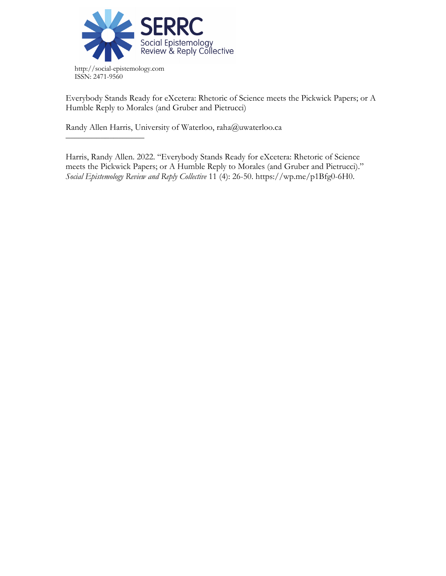

Everybody Stands Ready for eXcetera: Rhetoric of Science meets the Pickwick Papers; or A Humble Reply to Morales (and Gruber and Pietrucci)

Randy Allen Harris, University of Waterloo, raha@uwaterloo.ca

––––––––––––––––––

Harris, Randy Allen. 2022. "Everybody Stands Ready for eXcetera: Rhetoric of Science meets the Pickwick Papers; or A Humble Reply to Morales (and Gruber and Pietrucci)." *Social Epistemology Review and Reply Collective* 11 (4): 26-50. https://wp.me/p1Bfg0-6H0.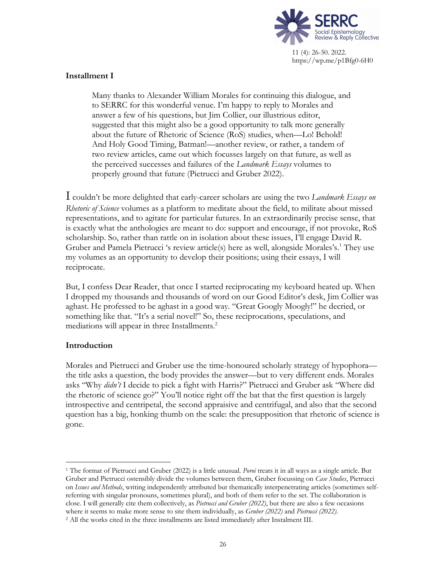

## **Installment I**

Many thanks to Alexander William Morales for continuing this dialogue, and to SERRC for this wonderful venue. I'm happy to reply to Morales and answer a few of his questions, but Jim Collier, our illustrious editor, suggested that this might also be a good opportunity to talk more generally about the future of Rhetoric of Science (RoS) studies, when—Lo! Behold! And Holy Good Timing, Batman!—another review, or rather, a tandem of two review articles, came out which focusses largely on that future, as well as the perceived successes and failures of the *Landmark Essays* volumes to properly ground that future (Pietrucci and Gruber 2022).

I couldn't be more delighted that early-career scholars are using the two *Landmark Essays on Rhetoric of Science* volumes as a platform to meditate about the field, to militate about missed representations, and to agitate for particular futures. In an extraordinarily precise sense, that is exactly what the anthologies are meant to do: support and encourage, if not provoke, RoS scholarship. So, rather than rattle on in isolation about these issues, I'll engage David R. Gruber and Pamela Pietrucci 's review article(s) here as well, alongside Morales's. <sup>1</sup> They use my volumes as an opportunity to develop their positions; using their essays, I will reciprocate.

But, I confess Dear Reader, that once I started reciprocating my keyboard heated up. When I dropped my thousands and thousands of word on our Good Editor's desk, Jim Collier was aghast. He professed to be aghast in a good way. "Great Googly Moogly!" he decried, or something like that. "It's a serial novel!" So, these reciprocations, speculations, and mediations will appear in three Installments.<sup>2</sup>

## **Introduction**

Morales and Pietrucci and Gruber use the time-honoured scholarly strategy of hypophora the title asks a question, the body provides the answer—but to very different ends. Morales asks "Why *didn't* I decide to pick a fight with Harris?" Pietrucci and Gruber ask "Where did the rhetoric of science go?" You'll notice right off the bat that the first question is largely introspective and centripetal, the second appraisive and centrifugal, and also that the second question has a big, honking thumb on the scale: the presupposition that rhetoric of science is gone.

<sup>1</sup> The format of Pietrucci and Gruber (2022) is a little unusual. *Poroi* treats it in all ways as a single article. But Gruber and Pietrucci ostensibly divide the volumes between them, Gruber focussing on *Case Studies*, Pietrucci on *Issues and Methods*, writing independently attributed but thematically interpenetrating articles (sometimes selfreferring with singular pronouns, sometimes plural), and both of them refer to the set. The collaboration is close. I will generally cite them collectively, as *Pietrucci and Gruber (2022)*, but there are also a few occasions where it seems to make more sense to site them individually, as *Gruber (2022)* and *Pietrucci (2022)*.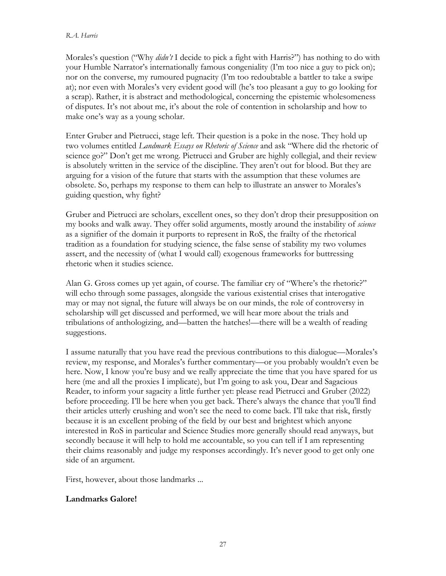### *R.A. Harris*

Morales's question ("Why *didn't* I decide to pick a fight with Harris?") has nothing to do with your Humble Narrator's internationally famous congeniality (I'm too nice a guy to pick on); nor on the converse, my rumoured pugnacity (I'm too redoubtable a battler to take a swipe at); nor even with Morales's very evident good will (he's too pleasant a guy to go looking for a scrap). Rather, it is abstract and methodological, concerning the epistemic wholesomeness of disputes. It's not about me, it's about the role of contention in scholarship and how to make one's way as a young scholar.

Enter Gruber and Pietrucci, stage left. Their question is a poke in the nose. They hold up two volumes entitled *Landmark Essays on Rhetoric of Science* and ask "Where did the rhetoric of science go?" Don't get me wrong. Pietrucci and Gruber are highly collegial, and their review is absolutely written in the service of the discipline. They aren't out for blood. But they are arguing for a vision of the future that starts with the assumption that these volumes are obsolete. So, perhaps my response to them can help to illustrate an answer to Morales's guiding question, why fight?

Gruber and Pietrucci are scholars, excellent ones, so they don't drop their presupposition on my books and walk away. They offer solid arguments, mostly around the instability of *science* as a signifier of the domain it purports to represent in RoS, the frailty of the rhetorical tradition as a foundation for studying science, the false sense of stability my two volumes assert, and the necessity of (what I would call) exogenous frameworks for buttressing rhetoric when it studies science.

Alan G. Gross comes up yet again, of course. The familiar cry of "Where's the rhetoric?" will echo through some passages, alongside the various existential crises that interogative may or may not signal, the future will always be on our minds, the role of controversy in scholarship will get discussed and performed, we will hear more about the trials and tribulations of anthologizing, and—batten the hatches!—there will be a wealth of reading suggestions.

I assume naturally that you have read the previous contributions to this dialogue—Morales's review, my response, and Morales's further commentary—or you probably wouldn't even be here. Now, I know you're busy and we really appreciate the time that you have spared for us here (me and all the proxies I implicate), but I'm going to ask you, Dear and Sagacious Reader, to inform your sagacity a little further yet: please read Pietrucci and Gruber (2022) before proceeding. I'll be here when you get back. There's always the chance that you'll find their articles utterly crushing and won't see the need to come back. I'll take that risk, firstly because it is an excellent probing of the field by our best and brightest which anyone interested in RoS in particular and Science Studies more generally should read anyways, but secondly because it will help to hold me accountable, so you can tell if I am representing their claims reasonably and judge my responses accordingly. It's never good to get only one side of an argument.

First, however, about those landmarks ...

# **Landmarks Galore!**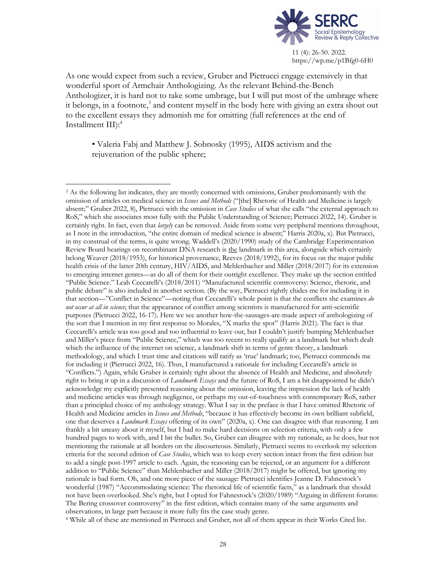

As one would expect from such a review, Gruber and Pietrucci engage extensively in that wonderful sport of Armchair Anthologizing. As the relevant Behind-the-Bench Anthologizer, it is hard not to take some umbrage, but I will put most of the umbrage where it belongs, in a footnote, <sup>3</sup> and content myself in the body here with giving an extra shout out to the excellent essays they admonish me for omitting (full references at the end of Installment III): 4

• Valeria Fabj and Matthew J. Sobnosky (1995), AIDS activism and the rejuvenation of the public sphere;

<sup>&</sup>lt;sup>3</sup> As the following list indicates, they are mostly concerned with omissions, Gruber predominantly with the omission of articles on medical science in *Issues and Methods* ("[the] Rhetoric of Health and Medicine is largely absent;" Gruber 2022, 8), Pietrucci with the omission in *Case Studies* of what she calls "the external approach to RoS," which she associates most fully with the Public Understanding of Science; Pietrucci 2022, 14). Gruber is certainly right. In fact, even that *largely* can be removed. Aside from some very peripheral mentions throughout, as I note in the introduction, "the entire domain of medical science is absent;" Harris 2020a, x). But Pietrucci, in my construal of the terms, is quite wrong. Waddell's (2020/1990) study of the Cambridge Experimentation Review Board hearings on recombinant DNA research is the landmark in this area, alongside which certainly belong Weaver (2018/1953), for historical provenance, Reeves (2018/1992), for its focus on the major public health crisis of the latter 20th century, HIV/AIDS, and Mehlenbacher and Miller (2018/2017) for its extension to emerging internet genres—as do all of them for their outright excellence. They make up the section entitled "Public Science." Leah Ceccarelli's (2018/2011) "Manufactured scientific controversy: Science, rhetoric, and public debate" is also included in another section. (By the way, Pietrucci rightly chides me for including it in that section—"Conflict in Science"—noting that Ceccarelli's whole point is that the conflicts she examines *do not occur at all in science*; that the appearance of conflict among scientists is manufactured for anti-scientific purposes (Pietrucci 2022, 16-17). Here we see another how-the-sausages-are-made aspect of anthologizing of the sort that I mention in my first response to Morales, "X marks the spot" (Harris 2021). The fact is that Ceccarelli's article was too good and too influential to leave out, but I couldn't justify bumping Mehlenbacher and Miller's piece from "Public Science," which was too recent to really qualify as a landmark but which dealt which the influence of the internet on science, a landmark shift in terms of genre theory, a landmark methodology, and which I trust time and citations will ratify as 'true' landmark; too, Pietrucci commends me for including it (Pietrucci 2022, 16). Thus, I manufactured a rationale for including Ceccarelli's article in "Conflicts.") Again, while Gruber is certainly right about the absence of Health and Medicine, and absolutely right to bring it up in a discussion of *Landmark Essays* and the future of RoS, I am a bit disappointed he didn't acknowledge my explicitly presented reasoning about the omission, leaving the impression the lack of health and medicine articles was through negligence, or perhaps my out-of-touchness with contemporary RoS, rather than a principled choice of my anthology strategy. What I say in the preface is that I have omitted Rhetoric of Health and Medicine articles in *Issues and Methods*, "because it has effectively become its own brilliant subfield, one that deserves a *Landmark Essays* offering of its own" (2020a, x). One can disagree with that reasoning. I am frankly a bit uneasy about it myself, but I had to make hard decisions on selection criteria, with only a few hundred pages to work with, and I bit the bullet. So, Gruber can disagree with my rationale, as he does, but not mentioning the rationale at all borders on the discourteous. Similarly, Pietrucci seems to overlook my selection criteria for the second edition of *Case Studies*, which was to keep every section intact from the first edition but to add a single post-1997 article to each. Again, the reasoning can be rejected, or an argument for a different addition to "Public Science" than Mehlenbacher and Miller (2018/2017) might be offered, but ignoring my rationale is bad form. Oh, and one more piece of the sausage: Pietrucci identifies Jeanne D. Fahnestock's wonderful (1987) "Accommodating science: The rhetorical life of scientific facts," as a landmark that should not have been overlooked. She's right, but I opted for Fahnestock's (2020/1989) "Arguing in different forums: The Bering crossover controversy" in the first edition, which contains many of the same arguments and observations, in large part because it more fully fits the case study genre.

<sup>4</sup> While all of these are mentioned in Pietrucci and Gruber, not all of them appear in their Works Cited list.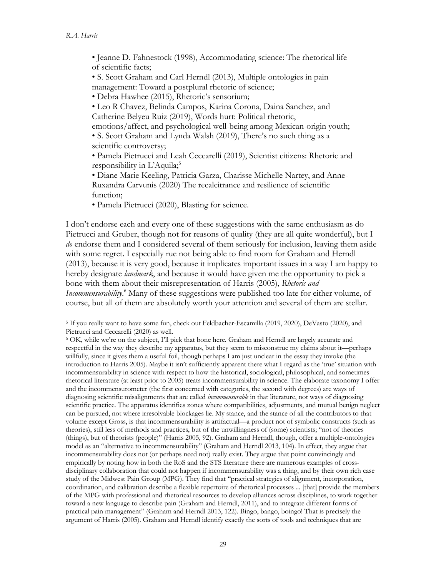• Jeanne D. Fahnestock (1998), Accommodating science: The rhetorical life of scientific facts;

• S. Scott Graham and Carl Herndl (2013), Multiple ontologies in pain management: Toward a postplural rhetoric of science;

• Debra Hawhee (2015), Rhetoric's sensorium;

• Leo R Chavez, Belinda Campos, Karina Corona, Daina Sanchez, and Catherine Belyeu Ruiz (2019), Words hurt: Political rhetoric,

emotions/affect, and psychological well-being among Mexican-origin youth;

• S. Scott Graham and Lynda Walsh (2019), There's no such thing as a scientific controversy;

• Pamela Pietrucci and Leah Ceccarelli (2019), Scientist citizens: Rhetoric and responsibility in L'Aquila; 5

• Diane Marie Keeling, Patricia Garza, Charisse Michelle Nartey, and Anne-Ruxandra Carvunis (2020) The recalcitrance and resilience of scientific function;

• Pamela Pietrucci (2020), Blasting for science.

I don't endorse each and every one of these suggestions with the same enthusiasm as do Pietrucci and Gruber, though not for reasons of quality (they are all quite wonderful), but I *do* endorse them and I considered several of them seriously for inclusion, leaving them aside with some regret. I especially rue not being able to find room for Graham and Herndl (2013), because it is very good, because it implicates important issues in a way I am happy to hereby designate *landmark*, and because it would have given me the opportunity to pick a bone with them about their misrepresentation of Harris (2005), *Rhetoric and Incommensurability*. <sup>6</sup> Many of these suggestions were published too late for either volume, of course, but all of them are absolutely worth your attention and several of them are stellar.

<sup>5</sup> If you really want to have some fun, check out Feldbacher-Escamilla (2019, 2020), DeVasto (2020), and Pietrucci and Ceccarelli (2020) as well.

<sup>6</sup> OK, while we're on the subject, I'll pick that bone here. Graham and Herndl are largely accurate and respectful in the way they describe my apparatus, but they seem to misconstrue my claims about it—perhaps willfully, since it gives them a useful foil, though perhaps I am just unclear in the essay they invoke (the introduction to Harris 2005). Maybe it isn't sufficiently apparent there what I regard as the 'true' situation with incommensurability in science with respect to how the historical, sociological, philosophical, and sometimes rhetorical literature (at least prior to 2005) treats incommensurability in science. The elaborate taxonomy I offer and the incommensurometer (the first concerned with categories, the second with degrees) are ways of diagnosing scientific misalignments that are called *incommensurable* in that literature, not ways of diagnosing scientific practice. The apparatus identifies zones where compatibilities, adjustments, and mutual benign neglect can be pursued, not where irresolvable blockages lie. My stance, and the stance of all the contributors to that volume except Gross, is that incommensurability is artifactual—a product not of symbolic constructs (such as theories), still less of methods and practices, but of the unwillingness of (some) scientists; "not of theories (things), but of theorists (people)" (Harris 2005, 92). Graham and Herndl, though, offer a multiple-ontologies model as an "alternative to incommensurability" (Graham and Herndl 2013, 104). In effect, they argue that incommensurability does not (or perhaps need not) really exist. They argue that point convincingly and empirically by noting how in both the RoS and the STS literature there are numerous examples of crossdisciplinary collaboration that could not happen if incommensurability was a thing, and by their own rich case study of the Midwest Pain Group (MPG). They find that "practical strategies of alignment, incorporation, coordination, and calibration describe a flexible repertoire of rhetorical processes ... [that] provide the members of the MPG with professional and rhetorical resources to develop alliances across disciplines, to work together toward a new language to describe pain (Graham and Herndl, 2011), and to integrate different forms of practical pain management" (Graham and Herndl 2013, 122). Bingo, bango, boingo! That is precisely the argument of Harris (2005). Graham and Herndl identify exactly the sorts of tools and techniques that are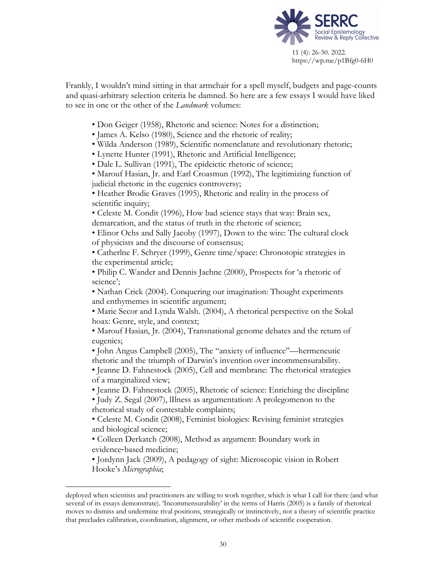

Frankly, I wouldn't mind sitting in that armchair for a spell myself, budgets and page-counts and quasi-arbitrary selection criteria be damned. So here are a few essays I would have liked to see in one or the other of the *Landmark* volumes:

- Don Geiger (1958), Rhetoric and science: Notes for a distinction;
- James A. Kelso (1980), Science and the rhetoric of reality;
- Wilda Anderson (1989), Scientific nomenclature and revolutionary rhetoric;
- Lynette Hunter (1991), Rhetoric and Artificial Intelligence;
- Dale L. Sullivan (1991), The epideictic rhetoric of science;

• Marouf Hasian, Jr. and Earl Croasmun (1992), The legitimizing function of judicial rhetoric in the eugenics controversy;

• Heather Brodie Graves (1995), Rhetoric and reality in the process of scientific inquiry;

• Celeste M. Condit (1996), How bad science stays that way: Brain sex, demarcation, and the status of truth in the rhetoric of science;

• Elinor Ochs and Sally Jacoby (1997), Down to the wire: The cultural clock of physicists and the discourse of consensus;

• Catherlne F. Schryer (1999), Genre time/space: Chronotopic strategies in the experimental article;

• Philip C. Wander and Dennis Jaehne (2000), Prospects for 'a rhetoric of science';

• Nathan Crick (2004). Conquering our imagination: Thought experiments and enthymemes in scientific argument;

• Marie Secor and Lynda Walsh. (2004), A rhetorical perspective on the Sokal hoax: Genre, style, and context;

• Marouf Hasian, Jr. (2004), Transnational genome debates and the return of eugenics;

• John Angus Campbell (2005), The "anxiety of influence"—hermeneutic rhetoric and the triumph of Darwin's invention over incommensurability.

• Jeanne D. Fahnestock (2005), Cell and membrane: The rhetorical strategies of a marginalized view;

• Jeanne D. Fahnestock (2005), Rhetoric of science: Enriching the discipline

• Judy Z. Segal (2007), lIlness as argumentation: A prolegomenon to the rhetorical study of contestable complaints;

• Celeste M. Condit (2008), Feminist biologies: Revising feminist strategies and biological science;

• Colleen Derkatch (2008), Method as argument: Boundary work in evidence-based medicine;

• Jordynn Jack (2009), A pedagogy of sight: Microscopic vision in Robert Hooke's *Micrographia*;

deployed when scientists and practitioners are willing to work together, which is what I call for there (and what several of its essays demonstrate). 'Incommensurability' in the terms of Harris (2005) is a family of rhetorical moves to dismiss and undermine rival positions, strategically or instinctively, not a theory of scientific practice that precludes calibration, coordination, alignment, or other methods of scientific cooperation.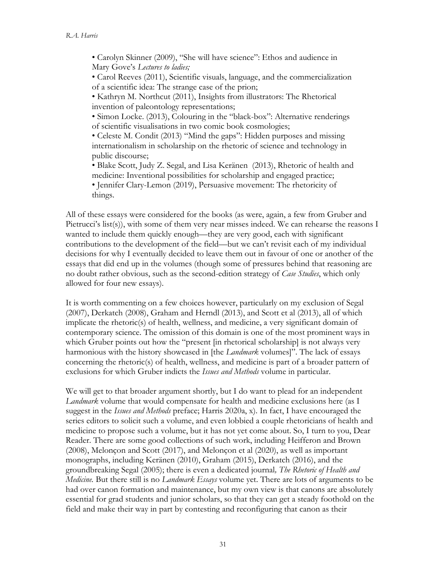• Carolyn Skinner (2009), "She will have science": Ethos and audience in Mary Gove's *Lectures to ladies;*

• Carol Reeves (2011), Scientific visuals, language, and the commercialization of a scientific idea: The strange case of the prion;

• Kathryn M. Northcut (2011), Insights from illustrators: The Rhetorical invention of paleontology representations;

• Simon Locke. (2013), Colouring in the "black-box": Alternative renderings of scientific visualisations in two comic book cosmologies;

• Celeste M. Condit (2013) "Mind the gaps": Hidden purposes and missing internationalism in scholarship on the rhetoric of science and technology in public discourse;

• Blake Scott, Judy Z. Segal, and Lisa Keränen (2013), Rhetoric of health and medicine: Inventional possibilities for scholarship and engaged practice;

• Jennifer Clary-Lemon (2019), Persuasive movement: The rhetoricity of things.

All of these essays were considered for the books (as were, again, a few from Gruber and Pietrucci's list(s)), with some of them very near misses indeed. We can rehearse the reasons I wanted to include them quickly enough—they are very good, each with significant contributions to the development of the field—but we can't revisit each of my individual decisions for why I eventually decided to leave them out in favour of one or another of the essays that did end up in the volumes (though some of pressures behind that reasoning are no doubt rather obvious, such as the second-edition strategy of *Case Studies*, which only allowed for four new essays).

It is worth commenting on a few choices however, particularly on my exclusion of Segal (2007), Derkatch (2008), Graham and Herndl (2013), and Scott et al (2013), all of which implicate the rhetoric(s) of health, wellness, and medicine, a very significant domain of contemporary science. The omission of this domain is one of the most prominent ways in which Gruber points out how the "present [in rhetorical scholarship] is not always very harmonious with the history showcased in [the *Landmark* volumes]". The lack of essays concerning the rhetoric(s) of health, wellness, and medicine is part of a broader pattern of exclusions for which Gruber indicts the *Issues and Methods* volume in particular.

We will get to that broader argument shortly, but I do want to plead for an independent *Landmark* volume that would compensate for health and medicine exclusions here (as I suggest in the *Issues and Methods* preface; Harris 2020a, x). In fact, I have encouraged the series editors to solicit such a volume, and even lobbied a couple rhetoricians of health and medicine to propose such a volume, but it has not yet come about. So, I turn to you, Dear Reader. There are some good collections of such work, including Heifferon and Brown (2008), Melonçon and Scott (2017), and Melonçon et al (2020), as well as important monographs, including Keränen (2010), Graham (2015), Derkatch (2016), and the groundbreaking Segal (2005); there is even a dedicated journal*, The Rhetoric of Health and Medicine.* But there still is no *Landmark Essays* volume yet. There are lots of arguments to be had over canon formation and maintenance, but my own view is that canons are absolutely essential for grad students and junior scholars, so that they can get a steady foothold on the field and make their way in part by contesting and reconfiguring that canon as their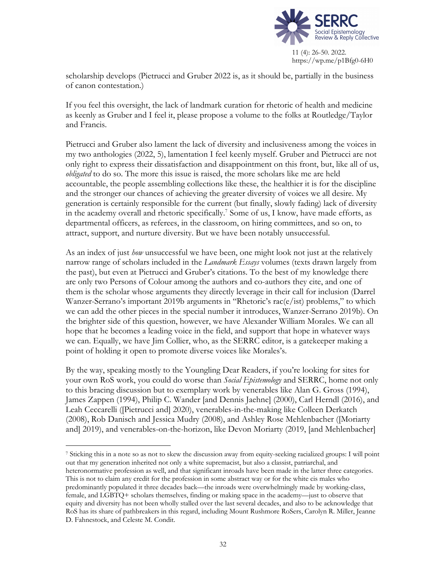

scholarship develops (Pietrucci and Gruber 2022 is, as it should be, partially in the business of canon contestation.)

If you feel this oversight, the lack of landmark curation for rhetoric of health and medicine as keenly as Gruber and I feel it, please propose a volume to the folks at Routledge/Taylor and Francis.

Pietrucci and Gruber also lament the lack of diversity and inclusiveness among the voices in my two anthologies (2022, 5), lamentation I feel keenly myself. Gruber and Pietrucci are not only right to express their dissatisfaction and disappointment on this front, but, like all of us, *obligated* to do so. The more this issue is raised, the more scholars like me are held accountable, the people assembling collections like these, the healthier it is for the discipline and the stronger our chances of achieving the greater diversity of voices we all desire. My generation is certainly responsible for the current (but finally, slowly fading) lack of diversity in the academy overall and rhetoric specifically.<sup>7</sup> Some of us, I know, have made efforts, as departmental officers, as referees, in the classroom, on hiring committees, and so on, to attract, support, and nurture diversity. But we have been notably unsuccessful.

As an index of just *how* unsuccessful we have been, one might look not just at the relatively narrow range of scholars included in the *Landmark Essays* volumes (texts drawn largely from the past), but even at Pietrucci and Gruber's citations. To the best of my knowledge there are only two Persons of Colour among the authors and co-authors they cite, and one of them is the scholar whose arguments they directly leverage in their call for inclusion (Darrel Wanzer-Serrano's important 2019b arguments in "Rhetoric's rac(e/ist) problems," to which we can add the other pieces in the special number it introduces, Wanzer-Serrano 2019b). On the brighter side of this question, however, we have Alexander William Morales. We can all hope that he becomes a leading voice in the field, and support that hope in whatever ways we can. Equally, we have Jim Collier, who, as the SERRC editor, is a gatekeeper making a point of holding it open to promote diverse voices like Morales's.

By the way, speaking mostly to the Youngling Dear Readers, if you're looking for sites for your own RoS work, you could do worse than *Social Epistemology* and SERRC, home not only to this bracing discussion but to exemplary work by venerables like Alan G. Gross (1994), James Zappen (1994), Philip C. Wander [and Dennis Jaehne] (2000), Carl Herndl (2016), and Leah Ceccarelli ([Pietrucci and] 2020), venerables-in-the-making like Colleen Derkatch (2008), Rob Danisch and Jessica Mudry (2008), and Ashley Rose Mehlenbacher ([Moriarty and] 2019), and venerables-on-the-horizon, like Devon Moriarty (2019, [and Mehlenbacher]

<sup>7</sup> Sticking this in a note so as not to skew the discussion away from equity-seeking racialized groups: I will point out that my generation inherited not only a white supremacist, but also a classist, patriarchal, and heteronormative profession as well, and that significant inroads have been made in the latter three categories. This is not to claim any credit for the profession in some abstract way or for the white cis males who predominantly populated it three decades back—the inroads were overwhelmingly made by working-class, female, and LGBTQ+ scholars themselves, finding or making space in the academy—just to observe that equity and diversity has not been wholly stalled over the last several decades, and also to be acknowledge that RoS has its share of pathbreakers in this regard, including Mount Rushmore RoSers, Carolyn R. Miller, Jeanne D. Fahnestock, and Celeste M. Condit.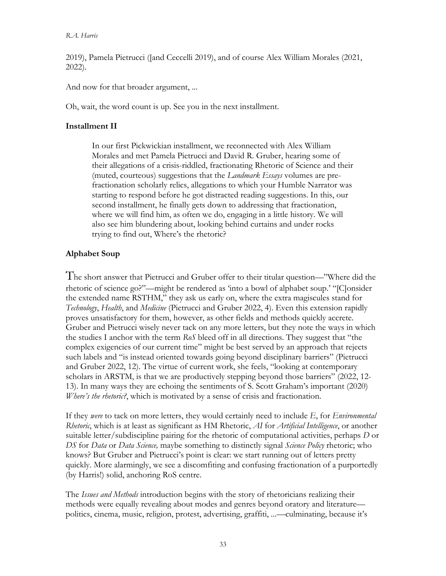### *R.A. Harris*

2019), Pamela Pietrucci ([and Ceccelli 2019), and of course Alex William Morales (2021, 2022).

And now for that broader argument, ...

Oh, wait, the word count is up. See you in the next installment.

## **Installment II**

In our first Pickwickian installment, we reconnected with Alex William Morales and met Pamela Pietrucci and David R. Gruber, hearing some of their allegations of a crisis-riddled, fractionating Rhetoric of Science and their (muted, courteous) suggestions that the *Landmark Essays* volumes are prefractionation scholarly relics, allegations to which your Humble Narrator was starting to respond before he got distracted reading suggestions. In this, our second installment, he finally gets down to addressing that fractionation, where we will find him, as often we do, engaging in a little history. We will also see him blundering about, looking behind curtains and under rocks trying to find out, Where's the rhetoric?

# **Alphabet Soup**

The short answer that Pietrucci and Gruber offer to their titular question—"Where did the rhetoric of science go?"—might be rendered as 'into a bowl of alphabet soup.' "[C]onsider the extended name RSTHM," they ask us early on, where the extra magiscules stand for *Technology*, *Health*, and *Medicine* (Pietrucci and Gruber 2022, 4). Even this extension rapidly proves unsatisfactory for them, however, as other fields and methods quickly accrete. Gruber and Pietrucci wisely never tack on any more letters, but they note the ways in which the studies I anchor with the term *RoS* bleed off in all directions. They suggest that "the complex exigencies of our current time" might be best served by an approach that rejects such labels and "is instead oriented towards going beyond disciplinary barriers" (Pietrucci and Gruber 2022, 12). The virtue of current work, she feels, "looking at contemporary scholars in ARSTM, is that we are productively stepping beyond those barriers" (2022, 12- 13). In many ways they are echoing the sentiments of S. Scott Graham's important (2020) *Where's the rhetoric?*, which is motivated by a sense of crisis and fractionation.

If they *were* to tack on more letters, they would certainly need to include *E*, for *Environmental Rhetoric*, which is at least as significant as HM Rhetoric, *AI* for *Artificial Intelligence*, or another suitable letter/subdiscipline pairing for the rhetoric of computational activities, perhaps *D* or *DS* for *Data* or *Data Science,* maybe something to distinctly signal *Science Policy* rhetoric; who knows? But Gruber and Pietrucci's point is clear: we start running out of letters pretty quickly. More alarmingly, we see a discomfiting and confusing fractionation of a purportedly (by Harris!) solid, anchoring RoS centre.

The *Issues and Methods* introduction begins with the story of rhetoricians realizing their methods were equally revealing about modes and genres beyond oratory and literature politics, cinema, music, religion, protest, advertising, graffiti, ...—culminating, because it's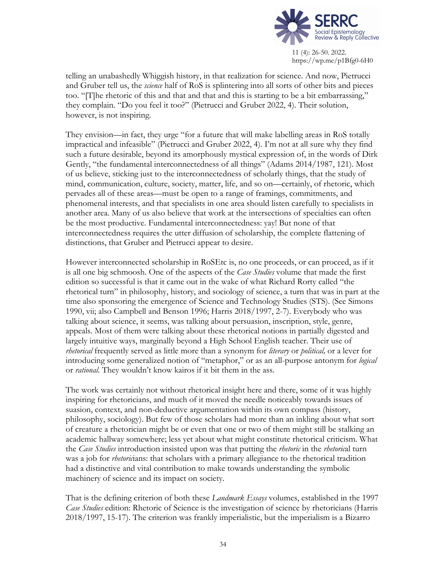

telling an unabashedly Whiggish history, in that realization for science. And now, Pietrucci and Gruber tell us, the *science* half of RoS is splintering into all sorts of other bits and pieces too. "[T]he rhetoric of this and that and that and this is starting to be a bit embarrassing," they complain. "Do you feel it too?" (Pietrucci and Gruber 2022, 4). Their solution, however, is not inspiring.

They envision—in fact, they urge "for a future that will make labelling areas in RoS totally impractical and infeasible" (Pietrucci and Gruber 2022, 4). I'm not at all sure why they find such a future desirable, beyond its amorphously mystical expression of, in the words of Dirk Gently, "the fundamental interconnectedness of all things" (Adams 2014/1987, 121). Most of us believe, sticking just to the interconnectedness of scholarly things, that the study of mind, communication, culture, society, matter, life, and so on—certainly, of rhetoric, which pervades all of these areas—must be open to a range of framings, commitments, and phenomenal interests, and that specialists in one area should listen carefully to specialists in another area. Many of us also believe that work at the intersections of specialties can often be the most productive. Fundamental interconnectedness: yay! But none of that interconnectedness requires the utter diffusion of scholarship, the complete flattening of distinctions, that Gruber and Pietrucci appear to desire.

However interconnected scholarship in RoSEtc is, no one proceeds, or can proceed, as if it is all one big schmoosh. One of the aspects of the *Case Studies* volume that made the first edition so successful is that it came out in the wake of what Richard Rorty called "the rhetorical turn" in philosophy, history, and sociology of science, a turn that was in part at the time also sponsoring the emergence of Science and Technology Studies (STS). (See Simons 1990, vii; also Campbell and Benson 1996; Harris 2018/1997, 2-7). Everybody who was talking about science, it seems, was talking about persuasion, inscription, style, genre, appeals. Most of them were talking about these rhetorical notions in partially digested and largely intuitive ways, marginally beyond a High School English teacher. Their use of *rhetorical* frequently served as little more than a synonym for *literary* or *political,* or a lever for introducing some generalized notion of "metaphor," or as an all-purpose antonym for *logical* or *rational*. They wouldn't know kairos if it bit them in the ass.

The work was certainly not without rhetorical insight here and there, some of it was highly inspiring for rhetoricians, and much of it moved the needle noticeably towards issues of suasion, context, and non-deductive argumentation within its own compass (history, philosophy, sociology). But few of those scholars had more than an inkling about what sort of creature a rhetorician might be or even that one or two of them might still be stalking an academic hallway somewhere; less yet about what might constitute rhetorical criticism. What the *Case Studies* introduction insisted upon was that putting the *rhetoric* in the *rhetoric*al turn was a job for *rhetoric*ians: that scholars with a primary allegiance to the rhetorical tradition had a distinctive and vital contribution to make towards understanding the symbolic machinery of science and its impact on society.

That is the defining criterion of both these *Landmark Essays* volumes, established in the 1997 *Case Studies* edition: Rhetoric of Science is the investigation of science by rhetoricians (Harris 2018/1997, 15-17). The criterion was frankly imperialistic, but the imperialism is a Bizarro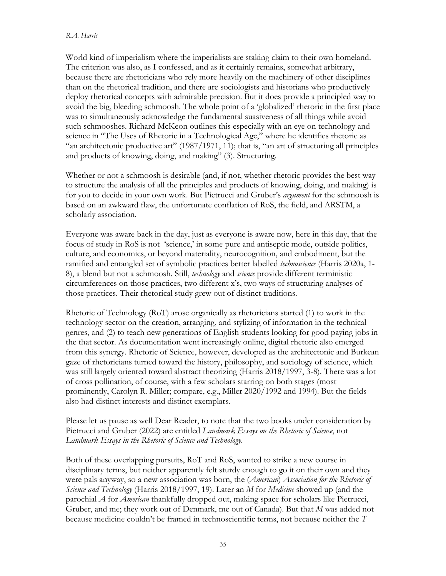#### *R.A. Harris*

World kind of imperialism where the imperialists are staking claim to their own homeland. The criterion was also, as I confessed, and as it certainly remains, somewhat arbitrary, because there are rhetoricians who rely more heavily on the machinery of other disciplines than on the rhetorical tradition, and there are sociologists and historians who productively deploy rhetorical concepts with admirable precision. But it does provide a principled way to avoid the big, bleeding schmoosh. The whole point of a 'globalized' rhetoric in the first place was to simultaneously acknowledge the fundamental suasiveness of all things while avoid such schmooshes. Richard McKeon outlines this especially with an eye on technology and science in "The Uses of Rhetoric in a Technological Age," where he identifies rhetoric as "an architectonic productive art" (1987/1971, 11); that is, "an art of structuring all principles and products of knowing, doing, and making" (3). Structuring.

Whether or not a schmoosh is desirable (and, if not, whether rhetoric provides the best way to structure the analysis of all the principles and products of knowing, doing, and making) is for you to decide in your own work. But Pietrucci and Gruber's *argument* for the schmoosh is based on an awkward flaw, the unfortunate conflation of RoS, the field, and ARSTM, a scholarly association.

Everyone was aware back in the day, just as everyone is aware now, here in this day, that the focus of study in RoS is not 'science,' in some pure and antiseptic mode, outside politics, culture, and economics, or beyond materiality, neurocognition, and embodiment, but the ramified and entangled set of symbolic practices better labelled *technoscience* (Harris 2020a, 1- 8), a blend but not a schmoosh. Still, *technology* and *science* provide different terministic circumferences on those practices, two different x's, two ways of structuring analyses of those practices. Their rhetorical study grew out of distinct traditions.

Rhetoric of Technology (RoT) arose organically as rhetoricians started (1) to work in the technology sector on the creation, arranging, and stylizing of information in the technical genres, and (2) to teach new generations of English students looking for good paying jobs in the that sector. As documentation went increasingly online, digital rhetoric also emerged from this synergy. Rhetoric of Science, however, developed as the architectonic and Burkean gaze of rhetoricians turned toward the history, philosophy, and sociology of science, which was still largely oriented toward abstract theorizing (Harris 2018/1997, 3-8). There was a lot of cross pollination, of course, with a few scholars starring on both stages (most prominently, Carolyn R. Miller; compare, e.g., Miller 2020/1992 and 1994). But the fields also had distinct interests and distinct exemplars.

Please let us pause as well Dear Reader, to note that the two books under consideration by Pietrucci and Gruber (2022) are entitled *Landmark Essays on the Rhetoric of Science*, not *Landmark Essays in the Rhetoric of Science and Technology*.

Both of these overlapping pursuits, RoT and RoS, wanted to strike a new course in disciplinary terms, but neither apparently felt sturdy enough to go it on their own and they were pals anyway, so a new association was born, the (*American*) *Association for the Rhetoric of Science and Technology* (Harris 2018/1997, 19). Later an *M* for *Medicine* showed up (and the parochial *A* for *American* thankfully dropped out, making space for scholars like Pietrucci, Gruber, and me; they work out of Denmark, me out of Canada). But that *M* was added not because medicine couldn't be framed in technoscientific terms, not because neither the *T*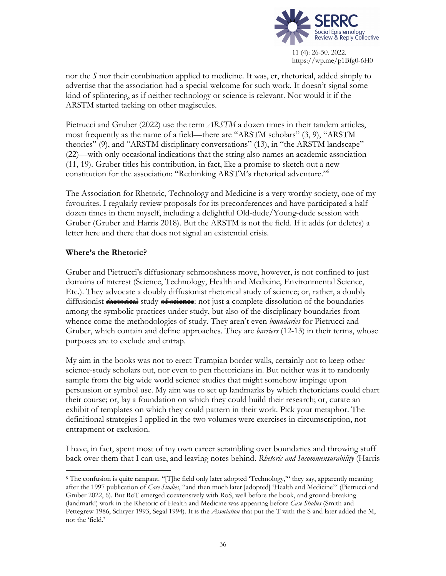

nor the *S* nor their combination applied to medicine. It was, er, rhetorical, added simply to advertise that the association had a special welcome for such work. It doesn't signal some kind of splintering, as if neither technology or science is relevant. Nor would it if the ARSTM started tacking on other magiscules.

Pietrucci and Gruber (2022) use the term *ARSTM* a dozen times in their tandem articles, most frequently as the name of a field—there are "ARSTM scholars" (3, 9), "ARSTM theories" (9), and "ARSTM disciplinary conversations" (13), in "the ARSTM landscape" (22)—with only occasional indications that the string also names an academic association (11, 19). Gruber titles his contribution, in fact, like a promise to sketch out a new constitution for the association: "Rethinking ARSTM's rhetorical adventure."8

The Association for Rhetoric, Technology and Medicine is a very worthy society, one of my favourites. I regularly review proposals for its preconferences and have participated a half dozen times in them myself, including a delightful Old-dude/Young-dude session with Gruber (Gruber and Harris 2018). But the ARSTM is not the field. If it adds (or deletes) a letter here and there that does not signal an existential crisis.

## **Where's the Rhetoric?**

Gruber and Pietrucci's diffusionary schmooshness move, however, is not confined to just domains of interest (Science, Technology, Health and Medicine, Environmental Science, Etc.). They advocate a doubly diffusionist rhetorical study of science; or, rather, a doubly diffusionist rhetorical study of science: not just a complete dissolution of the boundaries among the symbolic practices under study, but also of the disciplinary boundaries from whence come the methodologies of study. They aren't even *boundaries* for Pietrucci and Gruber, which contain and define approaches. They are *barriers* (12-13) in their terms, whose purposes are to exclude and entrap.

My aim in the books was not to erect Trumpian border walls, certainly not to keep other science-study scholars out, nor even to pen rhetoricians in. But neither was it to randomly sample from the big wide world science studies that might somehow impinge upon persuasion or symbol use. My aim was to set up landmarks by which rhetoricians could chart their course; or, lay a foundation on which they could build their research; or, curate an exhibit of templates on which they could pattern in their work. Pick your metaphor. The definitional strategies I applied in the two volumes were exercises in circumscription, not entrapment or exclusion.

I have, in fact, spent most of my own career scrambling over boundaries and throwing stuff back over them that I can use, and leaving notes behind. *Rhetoric and Incommensurability* (Harris

<sup>8</sup> The confusion is quite rampant. "[T]he field only later adopted 'Technology,'" they say, apparently meaning after the 1997 publication of *Case Studies*, "and then much later [adopted] 'Health and Medicine'" (Pietrucci and Gruber 2022, 6). But RoT emerged coextensively with RoS, well before the book, and ground-breaking (landmark!) work in the Rhetoric of Health and Medicine was appearing before *Case Studies* (Smith and Pettegrew 1986, Schryer 1993, Segal 1994). It is the *Association* that put the T with the S and later added the M, not the 'field.'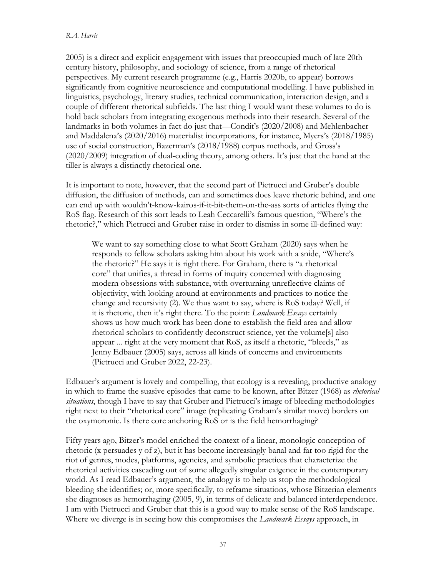#### *R.A. Harris*

2005) is a direct and explicit engagement with issues that preoccupied much of late 20th century history, philosophy, and sociology of science, from a range of rhetorical perspectives. My current research programme (e.g., Harris 2020b, to appear) borrows significantly from cognitive neuroscience and computational modelling. I have published in linguistics, psychology, literary studies, technical communication, interaction design, and a couple of different rhetorical subfields. The last thing I would want these volumes to do is hold back scholars from integrating exogenous methods into their research. Several of the landmarks in both volumes in fact do just that—Condit's (2020/2008) and Mehlenbacher and Maddalena's (2020/2016) materialist incorporations, for instance, Myers's (2018/1985) use of social construction, Bazerman's (2018/1988) corpus methods, and Gross's (2020/2009) integration of dual-coding theory, among others. It's just that the hand at the tiller is always a distinctly rhetorical one.

It is important to note, however, that the second part of Pietrucci and Gruber's double diffusion, the diffusion of methods, can and sometimes does leave rhetoric behind, and one can end up with wouldn't-know-kairos-if-it-bit-them-on-the-ass sorts of articles flying the RoS flag. Research of this sort leads to Leah Ceccarelli's famous question, "Where's the rhetoric?," which Pietrucci and Gruber raise in order to dismiss in some ill-defined way:

We want to say something close to what Scott Graham (2020) says when he responds to fellow scholars asking him about his work with a snide, "Where's the rhetoric?" He says it is right there. For Graham, there is "a rhetorical core" that unifies, a thread in forms of inquiry concerned with diagnosing modern obsessions with substance, with overturning unreflective claims of objectivity, with looking around at environments and practices to notice the change and recursivity (2). We thus want to say, where is RoS today? Well, if it is rhetoric, then it's right there. To the point: *Landmark Essays* certainly shows us how much work has been done to establish the field area and allow rhetorical scholars to confidently deconstruct science, yet the volume[s] also appear ... right at the very moment that RoS, as itself a rhetoric, "bleeds," as Jenny Edbauer (2005) says, across all kinds of concerns and environments (Pietrucci and Gruber 2022, 22-23).

Edbauer's argument is lovely and compelling, that ecology is a revealing, productive analogy in which to frame the suasive episodes that came to be known, after Bitzer (1968) as *rhetorical situations*, though I have to say that Gruber and Pietrucci's image of bleeding methodologies right next to their "rhetorical core" image (replicating Graham's similar move) borders on the oxymoronic. Is there core anchoring RoS or is the field hemorrhaging?

Fifty years ago, Bitzer's model enriched the context of a linear, monologic conception of rhetoric (x persuades y of z), but it has become increasingly banal and far too rigid for the riot of genres, modes, platforms, agencies, and symbolic practices that characterize the rhetorical activities cascading out of some allegedly singular exigence in the contemporary world. As I read Edbauer's argument, the analogy is to help us stop the methodological bleeding she identifies; or, more specifically, to reframe situations, whose Bitzerian elements she diagnoses as hemorrhaging (2005, 9), in terms of delicate and balanced interdependence. I am with Pietrucci and Gruber that this is a good way to make sense of the RoS landscape. Where we diverge is in seeing how this compromises the *Landmark Essays* approach, in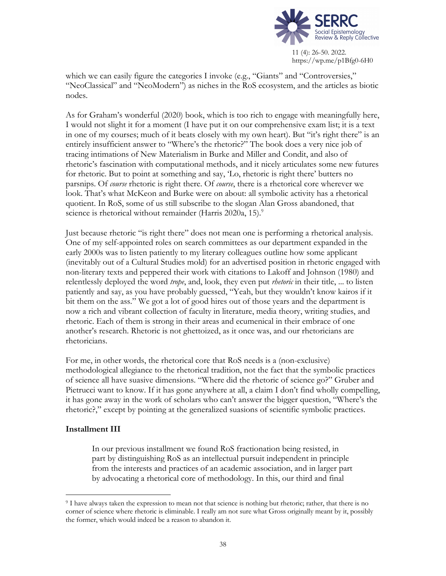

which we can easily figure the categories I invoke (e.g., "Giants" and "Controversies," "NeoClassical" and "NeoModern") as niches in the RoS ecosystem, and the articles as biotic nodes.

As for Graham's wonderful (2020) book, which is too rich to engage with meaningfully here, I would not slight it for a moment (I have put it on our comprehensive exam list; it is a text in one of my courses; much of it beats closely with my own heart). But "it's right there" is an entirely insufficient answer to "Where's the rhetoric?" The book does a very nice job of tracing intimations of New Materialism in Burke and Miller and Condit, and also of rhetoric's fascination with computational methods, and it nicely articulates some new futures for rhetoric. But to point at something and say, 'Lo, rhetoric is right there' butters no parsnips. Of *course* rhetoric is right there. Of *course*, there is a rhetorical core wherever we look. That's what McKeon and Burke were on about: all symbolic activity has a rhetorical quotient. In RoS, some of us still subscribe to the slogan Alan Gross abandoned, that science is rhetorical without remainder (Harris 2020a, 15).<sup>9</sup>

Just because rhetoric "is right there" does not mean one is performing a rhetorical analysis. One of my self-appointed roles on search committees as our department expanded in the early 2000s was to listen patiently to my literary colleagues outline how some applicant (inevitably out of a Cultural Studies mold) for an advertised position in rhetoric engaged with non-literary texts and peppered their work with citations to Lakoff and Johnson (1980) and relentlessly deployed the word *trope*, and, look, they even put *rhetoric* in their title, ... to listen patiently and say, as you have probably guessed, "Yeah, but they wouldn't know kairos if it bit them on the ass." We got a lot of good hires out of those years and the department is now a rich and vibrant collection of faculty in literature, media theory, writing studies, and rhetoric. Each of them is strong in their areas and ecumenical in their embrace of one another's research. Rhetoric is not ghettoized, as it once was, and our rhetoricians are rhetoricians.

For me, in other words, the rhetorical core that RoS needs is a (non-exclusive) methodological allegiance to the rhetorical tradition, not the fact that the symbolic practices of science all have suasive dimensions. "Where did the rhetoric of science go?" Gruber and Pietrucci want to know. If it has gone anywhere at all, a claim I don't find wholly compelling, it has gone away in the work of scholars who can't answer the bigger question, "Where's the rhetoric?," except by pointing at the generalized suasions of scientific symbolic practices.

## **Installment III**

In our previous installment we found RoS fractionation being resisted, in part by distinguishing RoS as an intellectual pursuit independent in principle from the interests and practices of an academic association, and in larger part by advocating a rhetorical core of methodology. In this, our third and final

<sup>9</sup> I have always taken the expression to mean not that science is nothing but rhetoric; rather, that there is no corner of science where rhetoric is eliminable. I really am not sure what Gross originally meant by it, possibly the former, which would indeed be a reason to abandon it.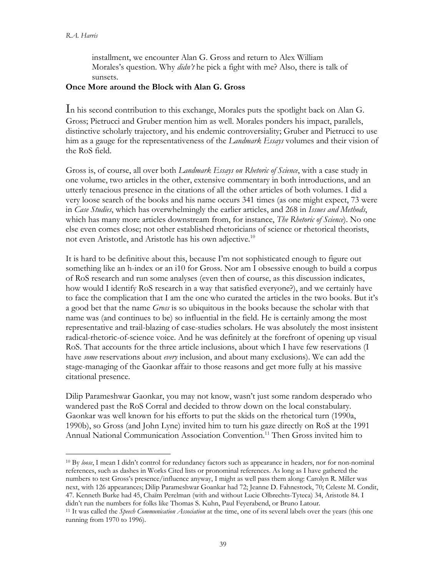installment, we encounter Alan G. Gross and return to Alex William Morales's question. Why *didn't* he pick a fight with me? Also, there is talk of sunsets.

### **Once More around the Block with Alan G. Gross**

In his second contribution to this exchange, Morales puts the spotlight back on Alan G. Gross; Pietrucci and Gruber mention him as well. Morales ponders his impact, parallels, distinctive scholarly trajectory, and his endemic controversiality; Gruber and Pietrucci to use him as a gauge for the representativeness of the *Landmark Essays* volumes and their vision of the RoS field.

Gross is, of course, all over both *Landmark Essays on Rhetoric of Science*, with a case study in one volume, two articles in the other, extensive commentary in both introductions, and an utterly tenacious presence in the citations of all the other articles of both volumes. I did a very loose search of the books and his name occurs 341 times (as one might expect, 73 were in *Case Studies*, which has overwhelmingly the earlier articles, and 268 in *Issues and Methods*, which has many more articles downstream from, for instance, *The Rhetoric of Science*). No one else even comes close; not other established rhetoricians of science or rhetorical theorists, not even Aristotle, and Aristotle has his own adjective.10

It is hard to be definitive about this, because I'm not sophisticated enough to figure out something like an h-index or an i10 for Gross. Nor am I obsessive enough to build a corpus of RoS research and run some analyses (even then of course, as this discussion indicates, how would I identify RoS research in a way that satisfied everyone?), and we certainly have to face the complication that I am the one who curated the articles in the two books. But it's a good bet that the name *Gross* is so ubiquitous in the books because the scholar with that name was (and continues to be) so influential in the field. He is certainly among the most representative and trail-blazing of case-studies scholars. He was absolutely the most insistent radical-rhetoric-of-science voice. And he was definitely at the forefront of opening up visual RoS. That accounts for the three article inclusions, about which I have few reservations (I have *some* reservations about *every* inclusion, and about many exclusions). We can add the stage-managing of the Gaonkar affair to those reasons and get more fully at his massive citational presence.

Dilip Parameshwar Gaonkar, you may not know, wasn't just some random desperado who wandered past the RoS Corral and decided to throw down on the local constabulary. Gaonkar was well known for his efforts to put the skids on the rhetorical turn (1990a, 1990b), so Gross (and John Lyne) invited him to turn his gaze directly on RoS at the 1991 Annual National Communication Association Convention.11 Then Gross invited him to

<sup>&</sup>lt;sup>10</sup> By loose, I mean I didn't control for redundancy factors such as appearance in headers, nor for non-nominal references, such as dashes in Works Cited lists or pronominal references. As long as I have gathered the numbers to test Gross's presence/influence anyway, I might as well pass them along: Carolyn R. Miller was next, with 126 appearances; Dilip Parameshwar Goankar had 72; Jeanne D. Fahnestock, 70; Celeste M. Condit, 47. Kenneth Burke had 45, Chaïm Perelman (with and without Lucie Olbrechts-Tyteca) 34, Aristotle 84. I didn't run the numbers for folks like Thomas S. Kuhn, Paul Feyerabend, or Bruno Latour.

<sup>11</sup> It was called the *Speech Communication Association* at the time, one of its several labels over the years (this one running from 1970 to 1996).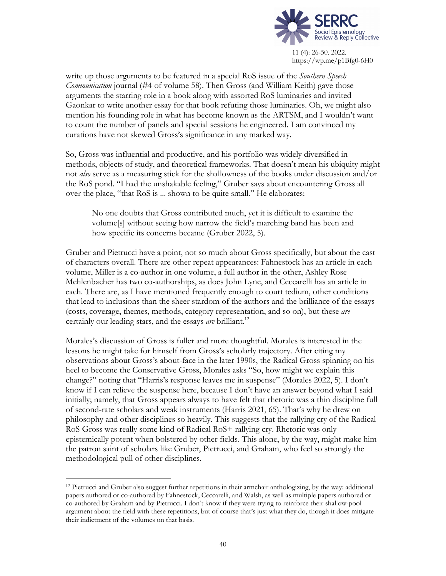

write up those arguments to be featured in a special RoS issue of the *Southern Speech Communication* journal (#4 of volume 58). Then Gross (and William Keith) gave those arguments the starring role in a book along with assorted RoS luminaries and invited Gaonkar to write another essay for that book refuting those luminaries. Oh, we might also mention his founding role in what has become known as the ARTSM, and I wouldn't want to count the number of panels and special sessions he engineered. I am convinced my curations have not skewed Gross's significance in any marked way.

So, Gross was influential and productive, and his portfolio was widely diversified in methods, objects of study, and theoretical frameworks. That doesn't mean his ubiquity might not *also* serve as a measuring stick for the shallowness of the books under discussion and/or the RoS pond. "I had the unshakable feeling," Gruber says about encountering Gross all over the place, "that RoS is ... shown to be quite small." He elaborates:

No one doubts that Gross contributed much, yet it is difficult to examine the volume[s] without seeing how narrow the field's marching band has been and how specific its concerns became (Gruber 2022, 5).

Gruber and Pietrucci have a point, not so much about Gross specifically, but about the cast of characters overall. There are other repeat appearances: Fahnestock has an article in each volume, Miller is a co-author in one volume, a full author in the other, Ashley Rose Mehlenbacher has two co-authorships, as does John Lyne, and Ceccarelli has an article in each. There are, as I have mentioned frequently enough to court tedium, other conditions that lead to inclusions than the sheer stardom of the authors and the brilliance of the essays (costs, coverage, themes, methods, category representation, and so on), but these *are* certainly our leading stars, and the essays *are* brilliant.<sup>12</sup>

Morales's discussion of Gross is fuller and more thoughtful. Morales is interested in the lessons he might take for himself from Gross's scholarly trajectory. After citing my observations about Gross's about-face in the later 1990s, the Radical Gross spinning on his heel to become the Conservative Gross, Morales asks "So, how might we explain this change?" noting that "Harris's response leaves me in suspense" (Morales 2022, 5). I don't know if I can relieve the suspense here, because I don't have an answer beyond what I said initially; namely, that Gross appears always to have felt that rhetoric was a thin discipline full of second-rate scholars and weak instruments (Harris 2021, 65). That's why he drew on philosophy and other disciplines so heavily. This suggests that the rallying cry of the Radical-RoS Gross was really some kind of Radical RoS+ rallying cry. Rhetoric was only epistemically potent when bolstered by other fields. This alone, by the way, might make him the patron saint of scholars like Gruber, Pietrucci, and Graham, who feel so strongly the methodological pull of other disciplines.

<sup>12</sup> Pietrucci and Gruber also suggest further repetitions in their armchair anthologizing, by the way: additional papers authored or co-authored by Fahnestock, Ceccarelli, and Walsh, as well as multiple papers authored or co-authored by Graham and by Pietrucci. I don't know if they were trying to reinforce their shallow-pool argument about the field with these repetitions, but of course that's just what they do, though it does mitigate their indictment of the volumes on that basis.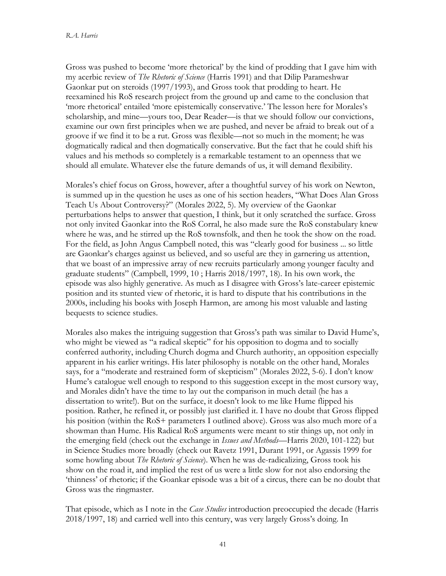Gross was pushed to become 'more rhetorical' by the kind of prodding that I gave him with my acerbic review of *The Rhetoric of Science* (Harris 1991) and that Dilip Parameshwar Gaonkar put on steroids (1997/1993), and Gross took that prodding to heart. He reexamined his RoS research project from the ground up and came to the conclusion that 'more rhetorical' entailed 'more epistemically conservative.' The lesson here for Morales's scholarship, and mine—yours too, Dear Reader—is that we should follow our convictions, examine our own first principles when we are pushed, and never be afraid to break out of a groove if we find it to be a rut. Gross was flexible—not so much in the moment; he was dogmatically radical and then dogmatically conservative. But the fact that he could shift his values and his methods so completely is a remarkable testament to an openness that we should all emulate. Whatever else the future demands of us, it will demand flexibility.

Morales's chief focus on Gross, however, after a thoughtful survey of his work on Newton, is summed up in the question he uses as one of his section headers, "What Does Alan Gross Teach Us About Controversy?" (Morales 2022, 5). My overview of the Gaonkar perturbations helps to answer that question, I think, but it only scratched the surface. Gross not only invited Gaonkar into the RoS Corral, he also made sure the RoS constabulary knew where he was, and he stirred up the RoS townsfolk, and then he took the show on the road. For the field, as John Angus Campbell noted, this was "clearly good for business ... so little are Gaonkar's charges against us believed, and so useful are they in garnering us attention, that we boast of an impressive array of new recruits particularly among younger faculty and graduate students" (Campbell, 1999, 10 ; Harris 2018/1997, 18). In his own work, the episode was also highly generative. As much as I disagree with Gross's late-career epistemic position and its stunted view of rhetoric, it is hard to dispute that his contributions in the 2000s, including his books with Joseph Harmon, are among his most valuable and lasting bequests to science studies.

Morales also makes the intriguing suggestion that Gross's path was similar to David Hume's, who might be viewed as "a radical skeptic" for his opposition to dogma and to socially conferred authority, including Church dogma and Church authority, an opposition especially apparent in his earlier writings. His later philosophy is notable on the other hand, Morales says, for a "moderate and restrained form of skepticism" (Morales 2022, 5-6). I don't know Hume's catalogue well enough to respond to this suggestion except in the most cursory way, and Morales didn't have the time to lay out the comparison in much detail (he has a dissertation to write!). But on the surface, it doesn't look to me like Hume flipped his position. Rather, he refined it, or possibly just clarified it. I have no doubt that Gross flipped his position (within the RoS+ parameters I outlined above). Gross was also much more of a showman than Hume. His Radical RoS arguments were meant to stir things up, not only in the emerging field (check out the exchange in *Issues and Methods*—Harris 2020, 101-122) but in Science Studies more broadly (check out Ravetz 1991, Durant 1991, or Agassis 1999 for some howling about *The Rhetoric of Science*). When he was de-radicalizing, Gross took his show on the road it, and implied the rest of us were a little slow for not also endorsing the 'thinness' of rhetoric; if the Goankar episode was a bit of a circus, there can be no doubt that Gross was the ringmaster.

That episode, which as I note in the *Case Studies* introduction preoccupied the decade (Harris 2018/1997, 18) and carried well into this century, was very largely Gross's doing. In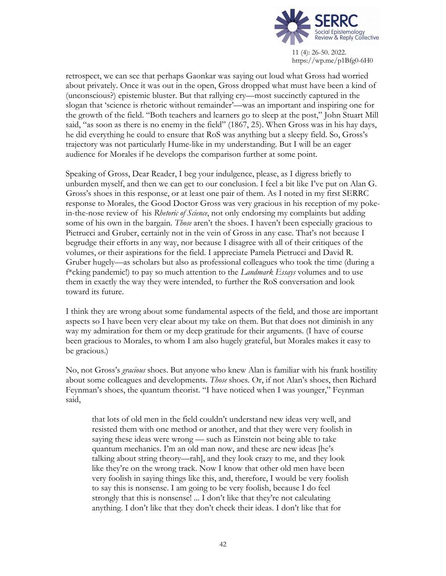

retrospect, we can see that perhaps Gaonkar was saying out loud what Gross had worried about privately. Once it was out in the open, Gross dropped what must have been a kind of (unconscious?) epistemic bluster. But that rallying cry—most succinctly captured in the slogan that 'science is rhetoric without remainder'—was an important and inspiring one for the growth of the field. "Both teachers and learners go to sleep at the post," John Stuart Mill said, "as soon as there is no enemy in the field" (1867, 25). When Gross was in his hay days, he did everything he could to ensure that RoS was anything but a sleepy field. So, Gross's trajectory was not particularly Hume-like in my understanding. But I will be an eager audience for Morales if he develops the comparison further at some point.

Speaking of Gross, Dear Reader, I beg your indulgence, please, as I digress briefly to unburden myself, and then we can get to our conclusion. I feel a bit like I've put on Alan G. Gross's shoes in this response, or at least one pair of them. As I noted in my first SERRC response to Morales, the Good Doctor Gross was very gracious in his reception of my pokein-the-nose review of his *Rhetoric of Science*, not only endorsing my complaints but adding some of his own in the bargain. *Those* aren't the shoes. I haven't been especially gracious to Pietrucci and Gruber, certainly not in the vein of Gross in any case. That's not because I begrudge their efforts in any way, nor because I disagree with all of their critiques of the volumes, or their aspirations for the field. I appreciate Pamela Pietrucci and David R. Gruber hugely—as scholars but also as professional colleagues who took the time (during a f\*cking pandemic!) to pay so much attention to the *Landmark Essays* volumes and to use them in exactly the way they were intended, to further the RoS conversation and look toward its future.

I think they are wrong about some fundamental aspects of the field, and those are important aspects so I have been very clear about my take on them. But that does not diminish in any way my admiration for them or my deep gratitude for their arguments. (I have of course been gracious to Morales, to whom I am also hugely grateful, but Morales makes it easy to be gracious.)

No, not Gross's *gracious* shoes. But anyone who knew Alan is familiar with his frank hostility about some colleagues and developments. *Those* shoes. Or, if not Alan's shoes, then Richard Feynman's shoes, the quantum theorist. "I have noticed when I was younger," Feynman said,

that lots of old men in the field couldn't understand new ideas very well, and resisted them with one method or another, and that they were very foolish in saying these ideas were wrong — such as Einstein not being able to take quantum mechanics. I'm an old man now, and these are new ideas [he's talking about string theory—rah], and they look crazy to me, and they look like they're on the wrong track. Now I know that other old men have been very foolish in saying things like this, and, therefore, I would be very foolish to say this is nonsense. I am going to be very foolish, because I do feel strongly that this is nonsense! ... I don't like that they're not calculating anything. I don't like that they don't check their ideas. I don't like that for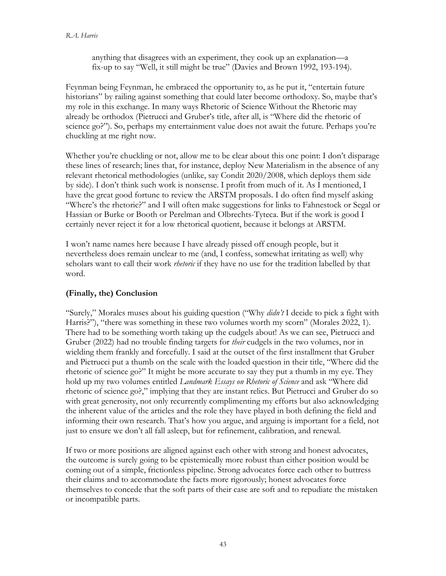anything that disagrees with an experiment, they cook up an explanation—a fix-up to say "Well, it still might be true" (Davies and Brown 1992, 193-194).

Feynman being Feynman, he embraced the opportunity to, as he put it, "entertain future historians" by railing against something that could later become orthodoxy. So, maybe that's my role in this exchange. In many ways Rhetoric of Science Without the Rhetoric may already be orthodox (Pietrucci and Gruber's title, after all, is "Where did the rhetoric of science go?"). So, perhaps my entertainment value does not await the future. Perhaps you're chuckling at me right now.

Whether you're chuckling or not, allow me to be clear about this one point: I don't disparage these lines of research; lines that, for instance, deploy New Materialism in the absence of any relevant rhetorical methodologies (unlike, say Condit 2020/2008, which deploys them side by side). I don't think such work is nonsense. I profit from much of it. As I mentioned, I have the great good fortune to review the ARSTM proposals. I do often find myself asking "Where's the rhetoric?" and I will often make suggestions for links to Fahnestock or Segal or Hassian or Burke or Booth or Perelman and Olbrechts-Tyteca. But if the work is good I certainly never reject it for a low rhetorical quotient, because it belongs at ARSTM.

I won't name names here because I have already pissed off enough people, but it nevertheless does remain unclear to me (and, I confess, somewhat irritating as well) why scholars want to call their work *rhetoric* if they have no use for the tradition labelled by that word.

# **(Finally, the) Conclusion**

"Surely," Morales muses about his guiding question ("Why *didn't* I decide to pick a fight with Harris?"), "there was something in these two volumes worth my scorn" (Morales 2022, 1). There had to be something worth taking up the cudgels about! As we can see, Pietrucci and Gruber (2022) had no trouble finding targets for *their* cudgels in the two volumes, nor in wielding them frankly and forcefully. I said at the outset of the first installment that Gruber and Pietrucci put a thumb on the scale with the loaded question in their title, "Where did the rhetoric of science go?" It might be more accurate to say they put a thumb in my eye. They hold up my two volumes entitled *Landmark Essays on Rhetoric of Science* and ask "Where did rhetoric of science go?," implying that they are instant relics. But Pietrucci and Gruber do so with great generosity, not only recurrently complimenting my efforts but also acknowledging the inherent value of the articles and the role they have played in both defining the field and informing their own research. That's how you argue, and arguing is important for a field, not just to ensure we don't all fall asleep, but for refinement, calibration, and renewal.

If two or more positions are aligned against each other with strong and honest advocates, the outcome is surely going to be epistemically more robust than either position would be coming out of a simple, frictionless pipeline. Strong advocates force each other to buttress their claims and to accommodate the facts more rigorously; honest advocates force themselves to concede that the soft parts of their case are soft and to repudiate the mistaken or incompatible parts.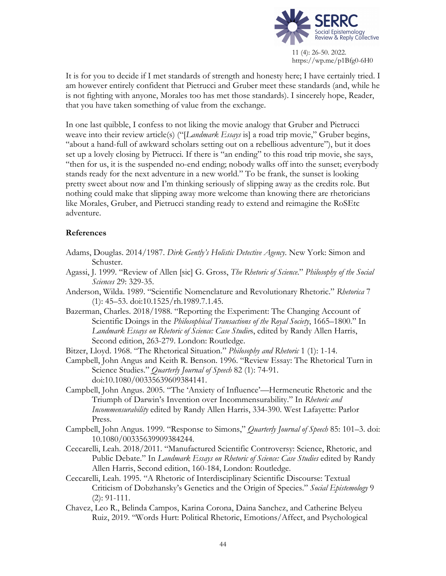

It is for you to decide if I met standards of strength and honesty here; I have certainly tried. I am however entirely confident that Pietrucci and Gruber meet these standards (and, while he is not fighting with anyone, Morales too has met those standards). I sincerely hope, Reader, that you have taken something of value from the exchange.

In one last quibble, I confess to not liking the movie analogy that Gruber and Pietrucci weave into their review article(s) ("[*Landmark Essays* is] a road trip movie," Gruber begins, "about a hand-full of awkward scholars setting out on a rebellious adventure"), but it does set up a lovely closing by Pietrucci. If there is "an ending" to this road trip movie, she says, "then for us, it is the suspended no-end ending; nobody walks off into the sunset; everybody stands ready for the next adventure in a new world." To be frank, the sunset is looking pretty sweet about now and I'm thinking seriously of slipping away as the credits role. But nothing could make that slipping away more welcome than knowing there are rhetoricians like Morales, Gruber, and Pietrucci standing ready to extend and reimagine the RoSEtc adventure.

## **References**

- Adams, Douglas. 2014/1987. *Dirk Gently's Holistic Detective Agency*. New York: Simon and Schuster.
- Agassi, J. 1999. "Review of Allen [sic] G. Gross, *The Rhetoric of Science*." *Philosophy of the Social Sciences* 29: 329-35.
- Anderson, Wilda. 1989. "Scientific Nomenclature and Revolutionary Rhetoric." *Rhetorica* 7 (1): 45–53. doi:10.1525/rh.1989.7.1.45.
- Bazerman, Charles. 2018/1988. "Reporting the Experiment: The Changing Account of Scientific Doings in the *Philosophical Transactions of the Royal Society*, 1665–1800." In *Landmark Essays on Rhetoric of Science: Case Studie*s, edited by Randy Allen Harris, Second edition, 263-279. London: Routledge.

Bitzer, Lloyd. 1968. "The Rhetorical Situation." *Philosophy and Rhetoric* 1 (1): 1-14.

- Campbell, John Angus and Keith R. Benson. 1996. "Review Essay: The Rhetorical Turn in Science Studies." *Quarterly Journal of Speech* 82 (1): 74-91. doi:10.1080/00335639609384141.
- Campbell, John Angus. 2005. "The 'Anxiety of Influence'—Hermeneutic Rhetoric and the Triumph of Darwin's Invention over Incommensurability." In *Rhetoric and Incommensurability* edited by Randy Allen Harris, 334-390. West Lafayette: Parlor Press.
- Campbell, John Angus. 1999. "Response to Simons," *Quarterly Journal of Speech* 85: 101–3. doi: 10.1080/00335639909384244.
- Ceccarelli, Leah. 2018/2011. "Manufactured Scientific Controversy: Science, Rhetoric, and Public Debate." In *Landmark Essays on Rhetoric of Science: Case Studies* edited by Randy Allen Harris, Second edition, 160-184, London: Routledge.
- Ceccarelli, Leah. 1995. "A Rhetoric of Interdisciplinary Scientific Discourse: Textual Criticism of Dobzhansky's Genetics and the Origin of Species." *Social Epistemology* 9 (2): 91-111.
- Chavez, Leo R., Belinda Campos, Karina Corona, Daina Sanchez, and Catherine Belyeu Ruiz, 2019. "Words Hurt: Political Rhetoric, Emotions/Affect, and Psychological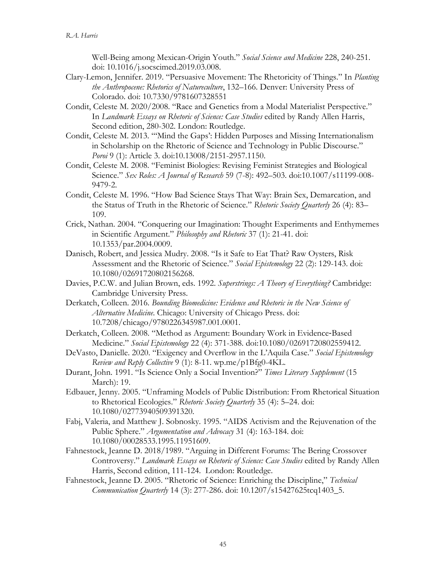Well-Being among Mexican-Origin Youth." *Social Science and Medicine* 228, 240-251. doi: 10.1016/j.socscimed.2019.03.008.

- Clary-Lemon, Jennifer. 2019. "Persuasive Movement: The Rhetoricity of Things." In *Planting the Anthropocene: Rhetorics of Natureculture*, 132–166. Denver: University Press of Colorado. doi: 10.7330/9781607328551
- Condit, Celeste M. 2020/2008. "Race and Genetics from a Modal Materialist Perspective." In *Landmark Essays on Rhetoric of Science: Case Studies* edited by Randy Allen Harris, Second edition, 280-302. London: Routledge.
- Condit, Celeste M. 2013. "'Mind the Gaps': Hidden Purposes and Missing Internationalism in Scholarship on the Rhetoric of Science and Technology in Public Discourse." *Poroi* 9 (1): Article 3. doi:10.13008/2151-2957.1150.
- Condit, Celeste M. 2008. "Feminist Biologies: Revising Feminist Strategies and Biological Science." *Sex Roles: A Journal of Research* 59 (7-8): 492–503. doi:10.1007/s11199-008- 9479-2.
- Condit, Celeste M. 1996. "How Bad Science Stays That Way: Brain Sex, Demarcation, and the Status of Truth in the Rhetoric of Science." *Rhetoric Society Quarterly* 26 (4): 83– 109.
- Crick, Nathan. 2004. "Conquering our Imagination: Thought Experiments and Enthymemes in Scientific Argument." *Philosophy and Rhetoric* 37 (1): 21-41. doi: 10.1353/par.2004.0009.
- Danisch, Robert, and Jessica Mudry. 2008. "Is it Safe to Eat That? Raw Oysters, Risk Assessment and the Rhetoric of Science." *Social Epistemology* 22 (2): 129-143. doi: 10.1080/02691720802156268.
- Davies, P.C.W. and Julian Brown, eds. 1992. *Superstrings: A Theory of Everything?* Cambridge: Cambridge University Press.
- Derkatch, Colleen. 2016. *Bounding Biomedicine: Evidence and Rhetoric in the New Science of Alternative Medicine*. Chicago: University of Chicago Press. doi: 10.7208/chicago/9780226345987.001.0001.
- Derkatch, Colleen. 2008. "Method as Argument: Boundary Work in Evidence-Based Medicine." *Social Epistemology* 22 (4): 371-388. doi:10.1080/02691720802559412.
- DeVasto, Danielle. 2020. "Exigency and Overflow in the L'Aquila Case." *Social Epistemology Review and Reply Collective* 9 (1): 8-11. wp.me/p1Bfg0-4KL.
- Durant, John. 1991. "Is Science Only a Social Invention?" *Times Literary Supplement* (15 March): 19.
- Edbauer, Jenny. 2005. "Unframing Models of Public Distribution: From Rhetorical Situation to Rhetorical Ecologies." *Rhetoric Society Quarterly* 35 (4): 5–24. doi: 10.1080/02773940509391320.
- Fabj, Valeria, and Matthew J. Sobnosky. 1995. "AIDS Activism and the Rejuvenation of the Public Sphere." *Argumentation and Advocacy* 31 (4): 163-184. doi: 10.1080/00028533.1995.11951609.
- Fahnestock, Jeanne D. 2018/1989. "Arguing in Different Forums: The Bering Crossover Controversy." *Landmark Essays on Rhetoric of Science: Case Studies* edited by Randy Allen Harris, Second edition, 111-124. London: Routledge.
- Fahnestock, Jeanne D. 2005. "Rhetoric of Science: Enriching the Discipline," *Technical Communication Quarterly* 14 (3): 277-286. doi: 10.1207/s15427625tcq1403\_5.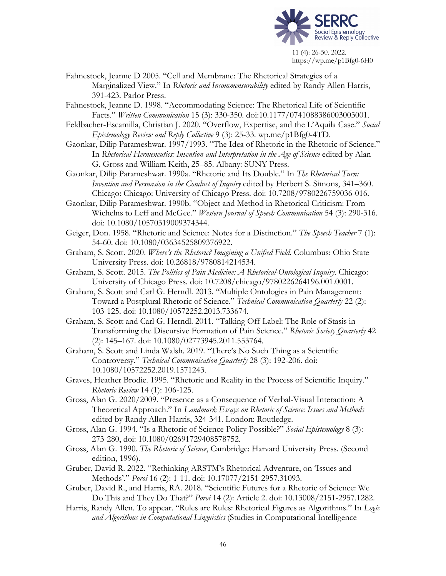

- Fahnestock, Jeanne D 2005. "Cell and Membrane: The Rhetorical Strategies of a Marginalized View." In *Rhetoric and Incommensurability* edited by Randy Allen Harris, 391-423. Parlor Press.
- Fahnestock, Jeanne D. 1998. "Accommodating Science: The Rhetorical Life of Scientific Facts." *Written Communication* 15 (3): 330-350. doi:10.1177/0741088386003003001.
- Feldbacher-Escamilla, Christian J. 2020. "Overflow, Expertise, and the L'Aquila Case." *Social Epistemology Review and Reply Collective* 9 (3): 25-33. wp.me/p1Bfg0-4TD.
- Gaonkar, Dilip Parameshwar. 1997/1993. "The Idea of Rhetoric in the Rhetoric of Science." In *Rhetorical Hermeneutics: Invention and Interpretation in the Age of Science* edited by Alan G. Gross and William Keith, 25–85. Albany: SUNY Press.
- Gaonkar, Dilip Parameshwar. 1990a. "Rhetoric and Its Double." In *The Rhetorical Turn: Invention and Persuasion in the Conduct of Inquiry* edited by Herbert S. Simons, 341–360. Chicago: Chicago: University of Chicago Press. doi: 10.7208/9780226759036-016.
- Gaonkar, Dilip Parameshwar. 1990b. "Object and Method in Rhetorical Criticism: From Wichelns to Leff and McGee." *Western Journal of Speech Communication* 54 (3): 290-316. doi: 10.1080/10570319009374344.
- Geiger, Don. 1958. "Rhetoric and Science: Notes for a Distinction." *The Speech Teacher* 7 (1): 54-60. doi: 10.1080/03634525809376922.
- Graham, S. Scott. 2020. *Where's the Rhetoric? Imagining a Unified Field*. Columbus: Ohio State University Press. doi: 10.26818/9780814214534.
- Graham, S. Scott. 2015. *The Politics of Pain Medicine: A Rhetorical-Ontological Inquiry*. Chicago: University of Chicago Press. doi: 10.7208/chicago/9780226264196.001.0001.
- Graham, S. Scott and Carl G. Herndl. 2013. "Multiple Ontologies in Pain Management: Toward a Postplural Rhetoric of Science." *Technical Communication Quarterly* 22 (2): 103-125. doi: 10.1080/10572252.2013.733674.
- Graham, S. Scott and Carl G. Herndl. 2011. "Talking Off-Label: The Role of Stasis in Transforming the Discursive Formation of Pain Science." *Rhetoric Society Quarterly* 42 (2): 145–167. doi: 10.1080/02773945.2011.553764.
- Graham, S. Scott and Linda Walsh. 2019. "There's No Such Thing as a Scientific Controversy." *Technical Communication Quarterly* 28 (3): 192-206. doi: 10.1080/10572252.2019.1571243.
- Graves, Heather Brodie. 1995. "Rhetoric and Reality in the Process of Scientific Inquiry." *Rhetoric Review* 14 (1): 106-125.
- Gross, Alan G. 2020/2009. "Presence as a Consequence of Verbal-Visual Interaction: A Theoretical Approach." In *Landmark Essays on Rhetoric of Science: Issues and Methods* edited by Randy Allen Harris, 324-341. London: Routledge.
- Gross, Alan G. 1994. "Is a Rhetoric of Science Policy Possible?" *Social Epistemology* 8 (3): 273-280, doi: 10.1080/02691729408578752.
- Gross, Alan G. 1990. *The Rhetoric of Science*, Cambridge: Harvard University Press. (Second edition, 1996).
- Gruber, David R. 2022. "Rethinking ARSTM's Rhetorical Adventure, on 'Issues and Methods'." *Poroi* 16 (2): 1-11. doi: 10.17077/2151-2957.31093.
- Gruber, David R., and Harris, RA. 2018. "Scientific Futures for a Rhetoric of Science: We Do This and They Do That?" *Poroi* 14 (2): Article 2. doi: 10.13008/2151-2957.1282.
- Harris, Randy Allen. To appear. "Rules are Rules: Rhetorical Figures as Algorithms." In *Logic and Algorithms in Computational Linguistics* (Studies in Computational Intelligence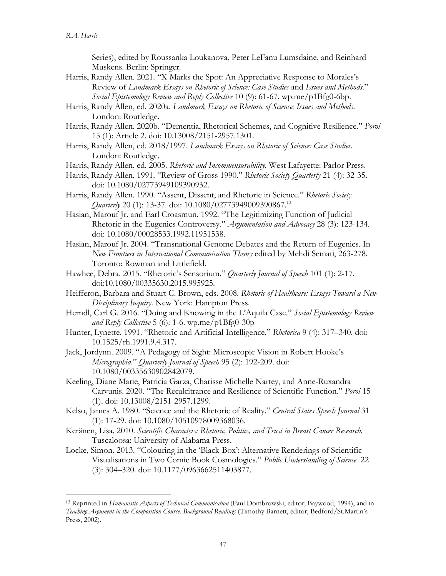Series), edited by Roussanka Loukanova, Peter LeFanu Lumsdaine, and Reinhard Muskens. Berlin: Springer.

- Harris, Randy Allen. 2021. "X Marks the Spot: An Appreciative Response to Morales's Review of *Landmark Essays on Rhetoric of Science: Case Studies* and *Issues and Methods*." *Social Epistemology Review and Reply Collective* 10 (9): 61-67. wp.me/p1Bfg0-6bp.
- Harris, Randy Allen, ed. 2020a. *Landmark Essays on Rhetoric of Science: Issues and Methods*. London: Routledge.
- Harris, Randy Allen. 2020b. "Dementia, Rhetorical Schemes, and Cognitive Resilience." *Poroi* 15 (1): Article 2. doi: 10.13008/2151-2957.1301.
- Harris, Randy Allen, ed. 2018/1997. *Landmark Essays on Rhetoric of Science: Case Studies*. London: Routledge.
- Harris, Randy Allen, ed. 2005. *Rhetoric and Incommensurability*. West Lafayette: Parlor Press.
- Harris, Randy Allen. 1991. "Review of Gross 1990." *Rhetoric Society Quarterly* 21 (4): 32-35. doi: 10.1080/02773949109390932.
- Harris, Randy Allen. 1990. "Assent, Dissent, and Rhetoric in Science." *Rhetoric Society Quarterly* 20 (1): 13-37. doi: 10.1080/02773949009390867.13
- Hasian, Marouf Jr. and Earl Croasmun. 1992. "The Legitimizing Function of Judicial Rhetoric in the Eugenics Controversy." *Argumentation and Advocacy* 28 (3): 123-134. doi: 10.1080/00028533.1992.11951538.
- Hasian, Marouf Jr. 2004. "Transnational Genome Debates and the Return of Eugenics. In *New Frontiers in International Communication Theory* edited by Mehdi Semati, 263-278. Toronto: Rowman and Littlefield.
- Hawhee, Debra. 2015. "Rhetoric's Sensorium." *Quarterly Journal of Speech* 101 (1): 2-17. doi:10.1080/00335630.2015.995925.
- Heifferon, Barbara and Stuart C. Brown, eds. 2008. *Rhetoric of Healthcare: Essays Toward a New Disciplinary Inquiry*. New York: Hampton Press.
- Herndl, Carl G. 2016. "Doing and Knowing in the L'Aquila Case." *Social Epistemology Review and Reply Collective* 5 (6): 1-6. wp.me/p1Bfg0-30p
- Hunter, Lynette. 1991. "Rhetoric and Artificial Intelligence." *Rhetorica* 9 (4): 317–340. doi: 10.1525/rh.1991.9.4.317.
- Jack, Jordynn. 2009. "A Pedagogy of Sight: Microscopic Vision in Robert Hooke's *Micrographia*." *Quarterly Journal of Speech* 95 (2): 192-209. doi: 10.1080/00335630902842079.
- Keeling, Diane Marie, Patricia Garza, Charisse Michelle Nartey, and Anne-Ruxandra Carvunis. 2020. "The Recalcitrance and Resilience of Scientific Function." *Poroi* 15 (1). doi: 10.13008/2151-2957.1299.
- Kelso, James A. 1980. "Science and the Rhetoric of Reality." *Central States Speech Journal* 31 (1): 17-29. doi: 10.1080/10510978009368036.
- Keränen, Lisa. 2010. *Scientific Characters: Rhetoric, Politics, and Trust in Breast Cancer Research*. Tuscaloosa: University of Alabama Press.
- Locke, Simon. 2013. "Colouring in the 'Black-Box': Alternative Renderings of Scientific Visualisations in Two Comic Book Cosmologies." *Public Understanding of Science* 22 (3): 304–320. doi: 10.1177/0963662511403877.

<sup>13</sup> Reprinted in *Humanistic Aspects of Technical Communication* (Paul Dombrowski, editor; Baywood, 1994), and in *Teaching Argument in the Composition Course: Background Readings* (Timothy Barnett, editor; Bedford/St.Martin's Press, 2002).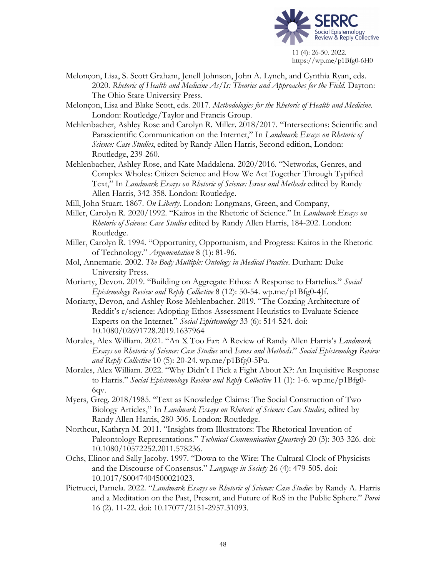

Melonçon, Lisa, S. Scott Graham, Jenell Johnson, John A. Lynch, and Cynthia Ryan, eds. 2020. *Rhetoric of Health and Medicine As/Is: Theories and Approaches for the Field.* Dayton: The Ohio State University Press.

Melonçon, Lisa and Blake Scott, eds. 2017. *Methodologies for the Rhetoric of Health and Medicine*. London: Routledge/Taylor and Francis Group.

- Mehlenbacher, Ashley Rose and Carolyn R. Miller. 2018/2017. "Intersections: Scientific and Parascientific Communication on the Internet," In *Landmark Essays on Rhetoric of Science: Case Studies*, edited by Randy Allen Harris, Second edition, London: Routledge, 239-260.
- Mehlenbacher, Ashley Rose, and Kate Maddalena. 2020/2016. "Networks, Genres, and Complex Wholes: Citizen Science and How We Act Together Through Typified Text," In *Landmark Essays on Rhetoric of Science: Issues and Methods* edited by Randy Allen Harris, 342-358. London: Routledge.
- Mill, John Stuart. 1867. *On Liberty*. London: Longmans, Green, and Company,
- Miller, Carolyn R. 2020/1992. "Kairos in the Rhetoric of Science." In *Landmark Essays on Rhetoric of Science: Case Studies* edited by Randy Allen Harris, 184-202. London: Routledge.
- Miller, Carolyn R. 1994. "Opportunity, Opportunism, and Progress: Kairos in the Rhetoric of Technology." *Argumentation* 8 (1): 81-96.
- Mol, Annemarie. 2002. *The Body Multiple: Ontology in Medical Practice*. Durham: Duke University Press.
- Moriarty, Devon. 2019. "Building on Aggregate Ethos: A Response to Hartelius." *Social Epistemology Review and Reply Collective* 8 (12): 50-54. wp.me/p1Bfg0-4Jf.
- Moriarty, Devon, and Ashley Rose Mehlenbacher. 2019. "The Coaxing Architecture of Reddit's r/science: Adopting Ethos-Assessment Heuristics to Evaluate Science Experts on the Internet." *Social Epistemology* 33 (6): 514-524. doi: 10.1080/02691728.2019.1637964
- Morales, Alex William. 2021. "An X Too Far: A Review of Randy Allen Harris's *Landmark Essays on Rhetoric of Science: Case Studies* and *Issues and Methods*." *Social Epistemology Review and Reply Collective* 10 (5): 20-24. wp.me/p1Bfg0-5Pu.
- Morales, Alex William. 2022. "Why Didn't I Pick a Fight About X?: An Inquisitive Response to Harris." *Social Epistemology Review and Reply Collective* 11 (1): 1-6. wp.me/p1Bfg0- 6qv.
- Myers, Greg. 2018/1985. "Text as Knowledge Claims: The Social Construction of Two Biology Articles," In *Landmark Essays on Rhetoric of Science: Case Studies*, edited by Randy Allen Harris, 280-306. London: Routledge.
- Northcut, Kathryn M. 2011. "Insights from Illustrators: The Rhetorical Invention of Paleontology Representations." *Technical Communication Quarterly* 20 (3): 303-326. doi: 10.1080/10572252.2011.578236.
- Ochs, Elinor and Sally Jacoby. 1997. "Down to the Wire: The Cultural Clock of Physicists and the Discourse of Consensus." *Language in Society* 26 (4): 479-505. doi: 10.1017/S0047404500021023.
- Pietrucci, Pamela. 2022. "*Landmark Essays on Rhetoric of Science: Case Studies* by Randy A. Harris and a Meditation on the Past, Present, and Future of RoS in the Public Sphere." *Poroi* 16 (2). 11-22. doi: 10.17077/2151-2957.31093.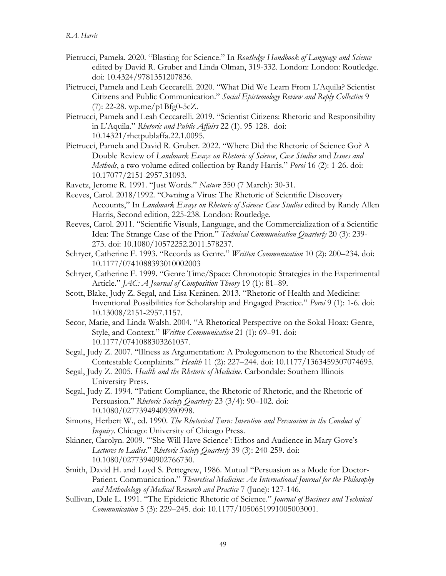- Pietrucci, Pamela. 2020. "Blasting for Science." In *Routledge Handbook of Language and Science* edited by David R. Gruber and Linda Olman, 319-332. London: London: Routledge. doi: 10.4324/9781351207836.
- Pietrucci, Pamela and Leah Ceccarelli. 2020. "What Did We Learn From L'Aquila? Scientist Citizens and Public Communication." *Social Epistemology Review and Reply Collective* 9 (7): 22-28. wp.me/p1Bfg0-5cZ.
- Pietrucci, Pamela and Leah Ceccarelli. 2019. "Scientist Citizens: Rhetoric and Responsibility in L'Aquila." *Rhetoric and Public Affairs* 22 (1). 95-128. doi: 10.14321/rhetpublaffa.22.1.0095.
- Pietrucci, Pamela and David R. Gruber. 2022. "Where Did the Rhetoric of Science Go? A Double Review of *Landmark Essays on Rhetoric of Science*, *Case Studies* and *Issues and Methods*, a two volume edited collection by Randy Harris." *Poroi* 16 (2): 1-26. doi: 10.17077/2151-2957.31093.

Ravetz, Jerome R. 1991. "Just Words." *Nature* 350 (7 March): 30-31.

- Reeves, Carol. 2018/1992. "Owning a Virus: The Rhetoric of Scientific Discovery Accounts," In *Landmark Essays on Rhetoric of Science: Case Studies* edited by Randy Allen Harris, Second edition, 225-238. London: Routledge.
- Reeves, Carol. 2011. "Scientific Visuals, Language, and the Commercialization of a Scientific Idea: The Strange Case of the Prion." *Technical Communication Quarterly* 20 (3): 239- 273. doi: 10.1080/10572252.2011.578237.
- Schryer, Catherine F. 1993. "Records as Genre." *Written Communication* 10 (2): 200–234. doi: 10.1177/0741088393010002003
- Schryer, Catherine F. 1999. "Genre Time/Space: Chronotopic Strategies in the Experimental Article." *JAC: A Journal of Composition Theory* 19 (1): 81–89.
- Scott, Blake, Judy Z. Segal, and Lisa Keränen. 2013. "Rhetoric of Health and Medicine: Inventional Possibilities for Scholarship and Engaged Practice." *Poroi* 9 (1): 1-6. doi: 10.13008/2151-2957.1157.
- Secor, Marie, and Linda Walsh. 2004. "A Rhetorical Perspective on the Sokal Hoax: Genre, Style, and Context." *Written Communication* 21 (1): 69–91. doi: 10.1177/0741088303261037.
- Segal, Judy Z. 2007. "lIlness as Argumentation: A Prolegomenon to the Rhetorical Study of Contestable Complaints." *Health* 11 (2): 227–244. doi: 10.1177/1363459307074695.
- Segal, Judy Z. 2005. *Health and the Rhetoric of Medicine*. Carbondale: Southern Illinois University Press.
- Segal, Judy Z. 1994. "Patient Compliance, the Rhetoric of Rhetoric, and the Rhetoric of Persuasion." *Rhetoric Society Quarterly* 23 (3/4): 90–102. doi: 10.1080/02773949409390998.
- Simons, Herbert W., ed. 1990. *The Rhetorical Turn: Invention and Persuasion in the Conduct of Inquiry*. Chicago: University of Chicago Press.
- Skinner, Carolyn. 2009. "'She Will Have Science': Ethos and Audience in Mary Gove's *Lectures to Ladies*." *Rhetoric Society Quarterly* 39 (3): 240-259. doi: 10.1080/02773940902766730.
- Smith, David H. and Loyd S. Pettegrew, 1986. Mutual "Persuasion as a Mode for Doctor-Patient. Communication." *Theoretical Medicine: An International Journal for the Philosophy and Methodology of Medical Research and Practice* 7 (June): 127-146.
- Sullivan, Dale L. 1991. "The Epideictic Rhetoric of Science." *Journal of Business and Technical Communication* 5 (3): 229–245. doi: 10.1177/1050651991005003001.